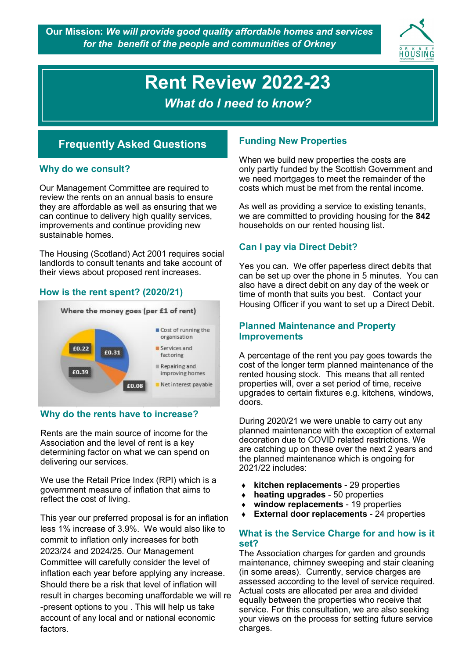**Our Mission:** *We will provide good quality affordable homes and services for the benefit of the people and communities of Orkney*



# **Rent Review 2022-23** *What do I need to know?*

# **Frequently Asked Questions**

### **Why do we consult?**

Our Management Committee are required to review the rents on an annual basis to ensure they are affordable as well as ensuring that we can continue to delivery high quality services, improvements and continue providing new sustainable homes.

The Housing (Scotland) Act 2001 requires social landlords to consult tenants and take account of their views about proposed rent increases.

## **How is the rent spent? (2020/21)**



## **Why do the rents have to increase?**

Rents are the main source of income for the Association and the level of rent is a key determining factor on what we can spend on delivering our services.

We use the Retail Price Index (RPI) which is a government measure of inflation that aims to reflect the cost of living.

This year our preferred proposal is for an inflation less 1% increase of 3.9%. We would also like to commit to inflation only increases for both 2023/24 and 2024/25. Our Management Committee will carefully consider the level of inflation each year before applying any increase. Should there be a risk that level of inflation will result in charges becoming unaffordable we will re -present options to you . This will help us take account of any local and or national economic factors.

## **Funding New Properties**

When we build new properties the costs are only partly funded by the Scottish Government and we need mortgages to meet the remainder of the costs which must be met from the rental income.

As well as providing a service to existing tenants, we are committed to providing housing for the **842**  households on our rented housing list.

### **Can I pay via Direct Debit?**

Yes you can. We offer paperless direct debits that can be set up over the phone in 5 minutes. You can also have a direct debit on any day of the week or time of month that suits you best. Contact your Housing Officer if you want to set up a Direct Debit.

### **Planned Maintenance and Property Improvements**

A percentage of the rent you pay goes towards the cost of the longer term planned maintenance of the rented housing stock. This means that all rented properties will, over a set period of time, receive upgrades to certain fixtures e.g. kitchens, windows, doors.

During 2020/21 we were unable to carry out any planned maintenance with the exception of external decoration due to COVID related restrictions. We are catching up on these over the next 2 years and the planned maintenance which is ongoing for 2021/22 includes:

- **kitchen replacements**  29 properties
- **heating upgrades**  50 properties
- **window replacements**  19 properties
- **External door replacements** 24 properties

### **What is the Service Charge for and how is it set?**

The Association charges for garden and grounds maintenance, chimney sweeping and stair cleaning (in some areas). Currently, service charges are assessed according to the level of service required. Actual costs are allocated per area and divided equally between the properties who receive that service. For this consultation, we are also seeking your views on the process for setting future service charges.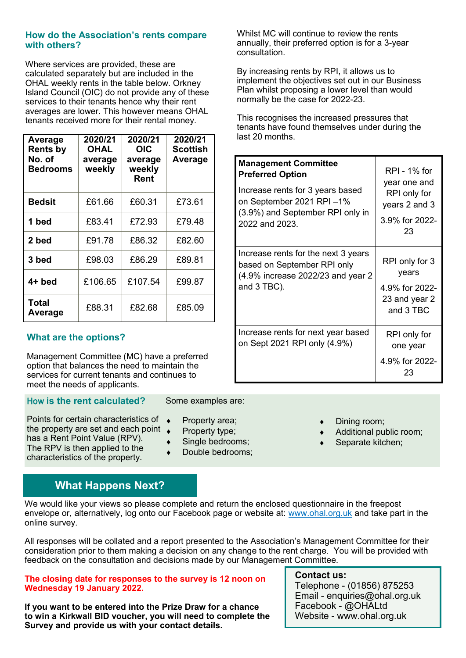### **How do the Association's rents compare with others?**

Where services are provided, these are calculated separately but are included in the OHAL weekly rents in the table below. Orkney Island Council (OIC) do not provide any of these services to their tenants hence why their rent averages are lower. This however means OHAL tenants received more for their rental money.

| Average<br><b>Rents by</b><br>No. of<br><b>Bedrooms</b> | 2020/21<br><b>OHAL</b><br>average<br>weekly | 2020/21<br><b>OIC</b><br>average<br>weekly<br><b>Rent</b> | 2020/21<br>Scottish<br>Average |
|---------------------------------------------------------|---------------------------------------------|-----------------------------------------------------------|--------------------------------|
| <b>Bedsit</b>                                           | £61.66                                      | £60.31                                                    | £73.61                         |
| 1 bed                                                   | £83.41                                      | £72.93                                                    | £79.48                         |
| 2 bed                                                   | £91.78                                      | £86.32                                                    | £82.60                         |
| 3 bed                                                   | £98.03                                      | £86.29                                                    | £89.81                         |
| $4+$ bed                                                | £106.65                                     | £107.54                                                   | £99.87                         |
| <b>Total</b><br>Average                                 | £88.31                                      | £82.68                                                    | £85.09                         |

## **What are the options?**

Management Committee (MC) have a preferred option that balances the need to maintain the services for current tenants and continues to meet the needs of applicants.

### How **is the rent calculated?**

Points for certain characteristics of the property are set and each point has a Rent Point Value (RPV). The RPV is then applied to the

characteristics of the property.

# Some examples are:

- Property area;
- Property type;
- ◆ Single bedrooms;
- Double bedrooms;

### Whilst MC will continue to review the rents annually, their preferred option is for a 3-year consultation.

By increasing rents by RPI, it allows us to implement the objectives set out in our Business Plan whilst proposing a lower level than would normally be the case for 2022-23.

This recognises the increased pressures that tenants have found themselves under during the last 20 months.

| <b>Management Committee</b><br><b>Preferred Option</b><br>Increase rents for 3 years based<br>on September 2021 RPI-1%<br>(3.9%) and September RPI only in<br>2022 and 2023. | RPI - 1% for<br>year one and<br>RPI only for<br>years 2 and 3<br>3.9% for 2022-<br>23 |
|------------------------------------------------------------------------------------------------------------------------------------------------------------------------------|---------------------------------------------------------------------------------------|
| Increase rents for the next 3 years<br>based on September RPI only<br>(4.9% increase 2022/23 and year 2<br>and 3 TBC).                                                       | RPI only for 3<br>years<br>4.9% for 2022-<br>23 and year 2<br>and 3 TBC               |
| Increase rents for next year based<br>on Sept 2021 RPI only (4.9%)                                                                                                           | RPI only for<br>one year<br>4.9% for 2022-<br>23                                      |

- Dining room;
- Additional public room;
- Separate kitchen;

## **What Happens Next?**

We would like your views so please complete and return the enclosed questionnaire in the freepost envelope or, alternatively, log onto our Facebook page or website at: www.ohal.org.uk and take part in the online survey.

All responses will be collated and a report presented to the Association's Management Committee for their consideration prior to them making a decision on any change to the rent charge. You will be provided with feedback on the consultation and decisions made by our Management Committee.

#### **The closing date for responses to the survey is 12 noon on Wednesday 19 January 2022.**

**If you want to be entered into the Prize Draw for a chance to win a Kirkwall BID voucher, you will need to complete the Survey and provide us with your contact details.**

### **Contact us:**

Telephone - (01856) 875253 Email - enquiries@ohal.org.uk Facebook - @OHALtd Website - www.ohal.org.uk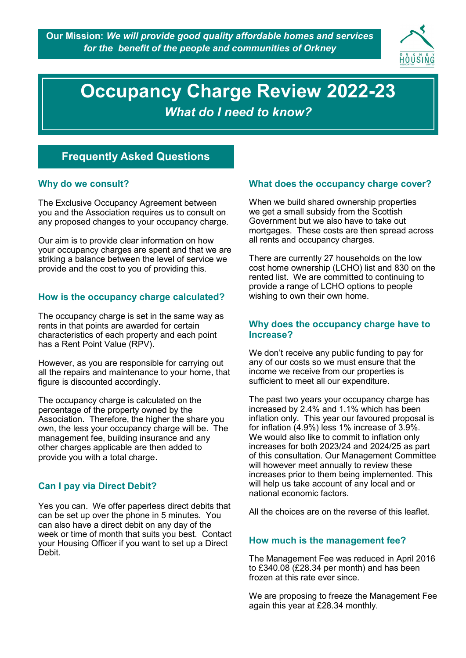

# **Occupancy Charge Review 2020-21 Occupancy Charge Review 2022-23** *What do I need to know?*

*What do I need to know?*

# **Frequently Asked Questions**

### **Why do we consult?**

The Exclusive Occupancy Agreement between you and the Association requires us to consult on any proposed changes to your occupancy charge.

Our aim is to provide clear information on how your occupancy charges are spent and that we are striking a balance between the level of service we provide and the cost to you of providing this.

## **How is the occupancy charge calculated?**

The occupancy charge is set in the same way as rents in that points are awarded for certain characteristics of each property and each point has a Rent Point Value (RPV).

However, as you are responsible for carrying out all the repairs and maintenance to your home, that figure is discounted accordingly.

The occupancy charge is calculated on the percentage of the property owned by the Association. Therefore, the higher the share you own, the less your occupancy charge will be. The management fee, building insurance and any other charges applicable are then added to provide you with a total charge.

## **Can I pay via Direct Debit?**

Yes you can. We offer paperless direct debits that can be set up over the phone in 5 minutes. You can also have a direct debit on any day of the week or time of month that suits you best. Contact your Housing Officer if you want to set up a Direct Debit.

### **What does the occupancy charge cover?**

When we build shared ownership properties we get a small subsidy from the Scottish Government but we also have to take out mortgages. These costs are then spread across all rents and occupancy charges.

There are currently 27 households on the low cost home ownership (LCHO) list and 830 on the rented list. We are committed to continuing to provide a range of LCHO options to people wishing to own their own home.

### **Why does the occupancy charge have to Increase?**

We don't receive any public funding to pay for any of our costs so we must ensure that the income we receive from our properties is sufficient to meet all our expenditure.

The past two years your occupancy charge has increased by 2.4% and 1.1% which has been inflation only. This year our favoured proposal is for inflation (4.9%) less 1% increase of 3.9%. We would also like to commit to inflation only increases for both 2023/24 and 2024/25 as part of this consultation. Our Management Committee will however meet annually to review these increases prior to them being implemented. This will help us take account of any local and or national economic factors.

All the choices are on the reverse of this leaflet.

## **How much is the management fee?**

The Management Fee was reduced in April 2016 to £340.08 (£28.34 per month) and has been frozen at this rate ever since.

We are proposing to freeze the Management Fee again this year at £28.34 monthly.